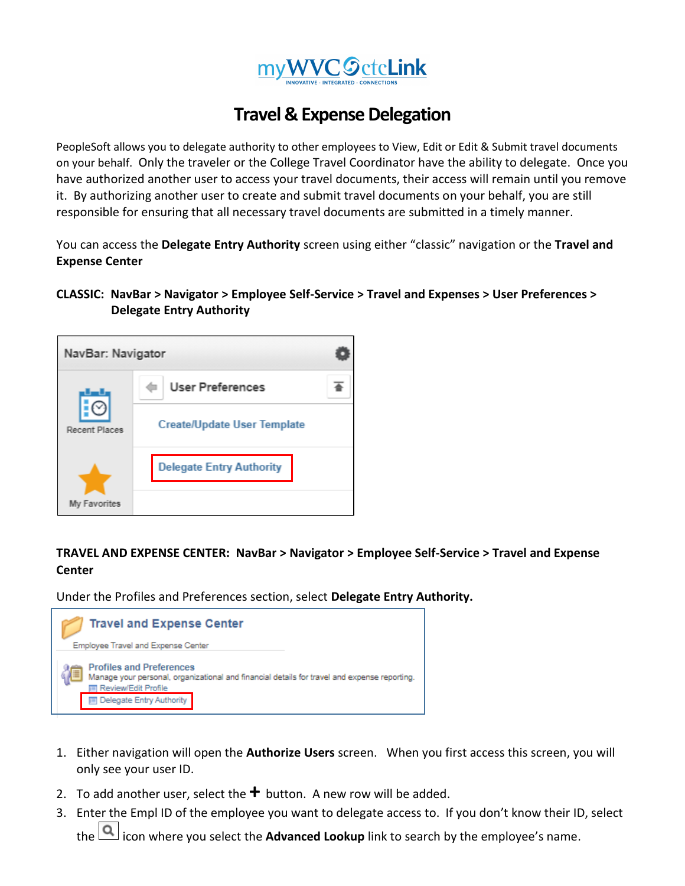

## **Travel & Expense Delegation**

PeopleSoft allows you to delegate authority to other employees to View, Edit or Edit & Submit travel documents on your behalf. Only the traveler or the College Travel Coordinator have the ability to delegate. Once you have authorized another user to access your travel documents, their access will remain until you remove it. By authorizing another user to create and submit travel documents on your behalf, you are still responsible for ensuring that all necessary travel documents are submitted in a timely manner.

You can access the **Delegate Entry Authority** screen using either "classic" navigation or the **Travel and Expense Center**

## **CLASSIC: NavBar > Navigator > Employee Self-Service > Travel and Expenses > User Preferences > Delegate Entry Authority**



## **TRAVEL AND EXPENSE CENTER: NavBar > Navigator > Employee Self-Service > Travel and Expense Center**

Under the Profiles and Preferences section, select **Delegate Entry Authority.**



- 1. Either navigation will open the **Authorize Users** screen. When you first access this screen, you will only see your user ID.
- 2. To add another user, select the  $\bigstar$  button. A new row will be added.
- 3. Enter the Empl ID of the employee you want to delegate access to. If you don't know their ID, select the **[Q]** icon where you select the **Advanced Lookup** link to search by the employee's name.